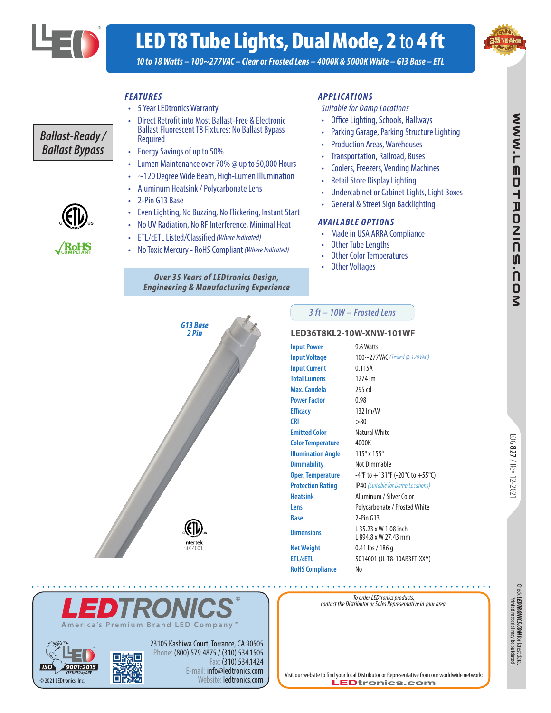

*Ballast-Ready / Ballast Bypass*

# LED T8 Tube Lights, Dual Mode, 2 to 4 ft



**NNW.LEDTRONIC** 

U

.<br>10<br>2<br>2

*10 to 18 Watts – 100~277VAC – Clear or Frosted Lens – 4000K & 5000K White – G13 Base – ETL*

### *FEATURES*

- 5 Year LEDtronics Warranty
- Direct Retrofit into Most Ballast-Free & Electronic Ballast Fluorescent T8 Fixtures: No Ballast Bypass Required
- Energy Savings of up to 50%
- Lumen Maintenance over 70% @ up to 50,000 Hours
- ~120 Degree Wide Beam, High-Lumen Illumination
- Aluminum Heatsink / Polycarbonate Lens
- 2-Pin G13 Base
- Even Lighting, No Buzzing, No Flickering, Instant Start
- No UV Radiation, No RF Interference, Minimal Heat
- ETL/cETL Listed/Classified *(Where Indicated)*
- No Toxic Mercury RoHS Compliant *(Where Indicated)*

#### *Over 35 Years of LEDtronics Design, Engineering & Manufacturing Experience*

#### *APPLIC ATIONS*

*Suitable for Damp Locations*

- Office Lighting, Schools, Hallways
- Parking Garage, Parking Structure Lighting
- Production Areas, Warehouses
- Transportation, Railroad, Buses
- Coolers, Freezers, Vending Machines
- Retail Store Display Lighting
- Undercabinet or Cabinet Lights, Light Boxes
- General & Street Sign Backlighting

#### *AVAILABLE OPTIONS*

- Made in USA ARRA Compliance
- **Other Tube Lengths**
- **Other Color Temperatures**
- **Other Voltages**



23105 Kashiwa Court, Torrance, CA 90505 Phone: (800) 579.4875 / (310) 534.1505

**Brand LED Company** 

Fax: (310) 534.1424 E-mail: info@ledtronics.com Website: ledtronics.com

#### *3 ft – 10W – Frosted Lens*

#### **LED36T8KL2-10W-XNW-101WF**

**RoHS** 

| <b>Input Power</b>        | 9.6 Watts                                     |
|---------------------------|-----------------------------------------------|
| <b>Input Voltage</b>      | 100~277VAC (Tested @ 120VAC)                  |
| <b>Input Current</b>      | 0.115A                                        |
| <b>Total Lumens</b>       | 1274 lm                                       |
| Max. Candela              | 295 cd                                        |
| <b>Power Factor</b>       | 0.98                                          |
| <b>Efficacy</b>           | 132 lm/W                                      |
| <b>CRI</b>                | > 80                                          |
| <b>Emitted Color</b>      | Natural White                                 |
| <b>Color Temperature</b>  | 4000K                                         |
| <b>Illumination Angle</b> | 115° x 155°                                   |
| <b>Dimmability</b>        | Not Dimmable                                  |
| <b>Oper. Temperature</b>  | -4°F to +131°F (-20°C to +55°C)               |
| <b>Protection Rating</b>  | <b>IP40</b> (Suitable for Damp Locations)     |
| <b>Heatsink</b>           | Aluminum / Silver Color                       |
| Lens                      | Polycarbonate / Frosted White                 |
| <b>Base</b>               | $2-Pin G13$                                   |
| <b>Dimensions</b>         | 1 35.23 x W 1.08 inch<br>L 894.8 x W 27.43 mm |
| <b>Net Weight</b>         | 0.41 lbs / 186 g                              |
| <b>ETL/cETL</b>           | 5014001 (JL-T8-10AB3FT-XXY)                   |
| <b>RoHS Compliance</b>    | No                                            |

LOG **827**



. . . . . . . . . .

Visit our website to find your local Distributor or Representative from our worldwide network:<br>
LED tronics.com

**COMPLIANT**

© 2021 LEDtronics, Inc.

01:2015

l isc